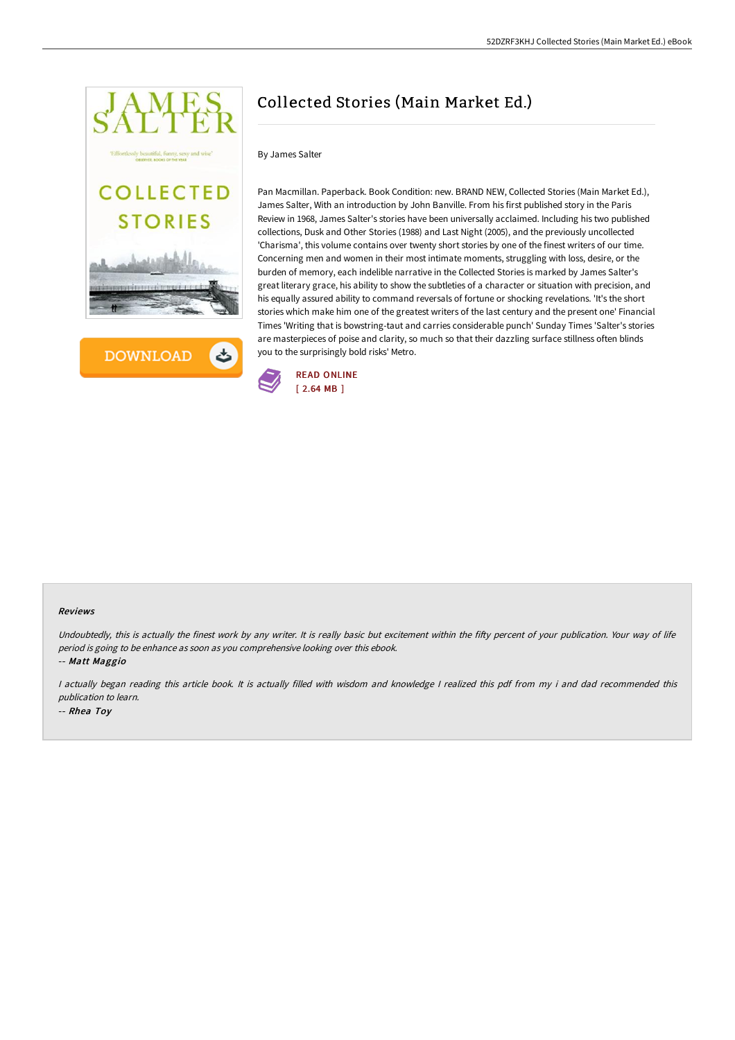



# Collected Stories (Main Market Ed.)

### By James Salter

Pan Macmillan. Paperback. Book Condition: new. BRAND NEW, Collected Stories (Main Market Ed.), James Salter, With an introduction by John Banville. From his first published story in the Paris Review in 1968, James Salter's stories have been universally acclaimed. Including his two published collections, Dusk and Other Stories (1988) and Last Night (2005), and the previously uncollected 'Charisma', this volume contains over twenty short stories by one of the finest writers of our time. Concerning men and women in their most intimate moments, struggling with loss, desire, or the burden of memory, each indelible narrative in the Collected Stories is marked by James Salter's great literary grace, his ability to show the subtleties of a character or situation with precision, and his equally assured ability to command reversals of fortune or shocking revelations. 'It's the short stories which make him one of the greatest writers of the last century and the present one' Financial Times 'Writing that is bowstring-taut and carries considerable punch' Sunday Times 'Salter's stories are masterpieces of poise and clarity, so much so that their dazzling surface stillness often blinds you to the surprisingly bold risks' Metro.



#### Reviews

Undoubtedly, this is actually the finest work by any writer. It is really basic but excitement within the fifty percent of your publication. Your way of life period is going to be enhance as soon as you comprehensive looking over this ebook.

-- Matt Maggio

<sup>I</sup> actually began reading this article book. It is actually filled with wisdom and knowledge <sup>I</sup> realized this pdf from my i and dad recommended this publication to learn.

-- Rhea Toy